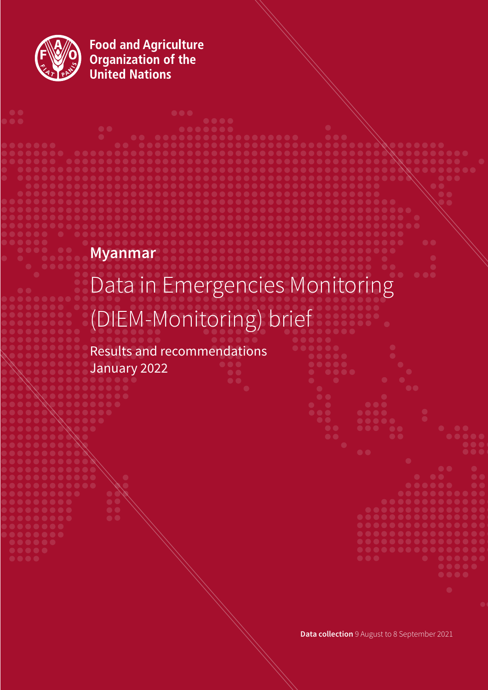

**Food and Agriculture<br>Organization of the<br>United Nations** 

# **Myanmar**

# Data in Emergencies Monitoring (DIEM-Monitoring) brief

Results and recommendations January 2022

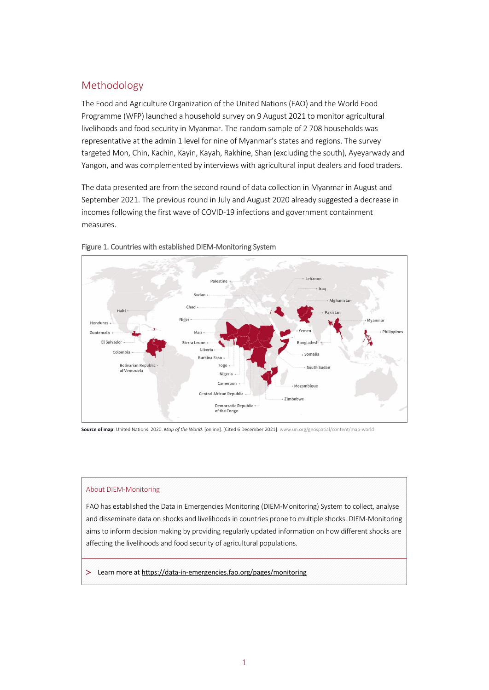# Methodology

The Food and Agriculture Organization of the United Nations (FAO) and the World Food Programme (WFP) launched a household survey on 9 August 2021 to monitor agricultural livelihoods and food security in Myanmar. The random sample of 2 708 households was representative at the admin 1 level for nine of Myanmar's states and regions. The survey targeted Mon, Chin, Kachin, Kayin, Kayah, Rakhine, Shan (excluding the south), Ayeyarwady and Yangon, and was complemented by interviews with agricultural input dealers and food traders.

The data presented are from the second round of data collection in Myanmar in August and September 2021. The previous round in July and August 2020 already suggested a decrease in incomes following the first wave of COVID-19 infections and government containment measures.





**Source of map**: United Nations. 2020. *Map of the World.* [online]. [Cited 6 December 2021][. www.un.org/geospatial/content/map-world](https://www.un.org/geospatial/content/map-world) 

#### About DIEM-Monitoring

FAO has established the Data in Emergencies Monitoring (DIEM-Monitoring) System to collect, analyse and disseminate data on shocks and livelihoods in countries prone to multiple shocks. DIEM-Monitoring aims to inform decision making by providing regularly updated information on how different shocks are affecting the livelihoods and food security of agricultural populations.

> Learn more a[t https://data-in-emergencies.fao.org/pages/monitoring](https://data-in-emergencies.fao.org/pages/monitoring)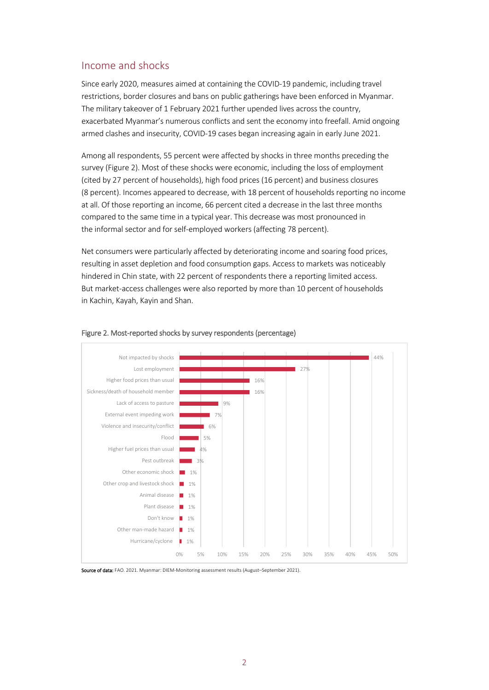## Income and shocks

Since early 2020, measures aimed at containing the COVID-19 pandemic, including travel restrictions, border closures and bans on public gatherings have been enforced in Myanmar. The military takeover of 1 February 2021 further upended lives across the country, exacerbated Myanmar's [numerous conflicts](https://www.thenewhumanitarian.org/2021/05/03/complex-chaotic-myanmar-coup-shrinks-frontline-aid) and sent the economy into freefall. Amid ongoing armed clashes and insecurity, COVID-19 cases began increasing again in early June 2021.

Among all respondents, 55 percent were affected by shocks in three months preceding the survey (Figure 2). Most of these shocks were economic, including the loss of employment (cited by 27 percent of households), high food prices (16 percent) and business closures (8 percent). Incomes appeared to decrease, with 18 percent of households reporting no income at all. Of those reporting an income, 66 percent cited a decrease in the last three months compared to the same time in a typical year. This decrease was most pronounced in the informal sector and for self-employed workers (affecting 78 percent).

Net consumers were particularly affected by deteriorating income and soaring food prices, resulting in asset depletion and food consumption gaps. Access to markets was noticeably hindered in Chin state, with 22 percent of respondents there a reporting limited access. But market-access challenges were also reported by more than 10 percent of households in Kachin, Kayah, Kayin and Shan.



#### Figure 2. Most-reported shocks by survey respondents (percentage)

Source of data: FAO. 2021. Myanmar: DIEM-Monitoring assessment results (August–September 2021).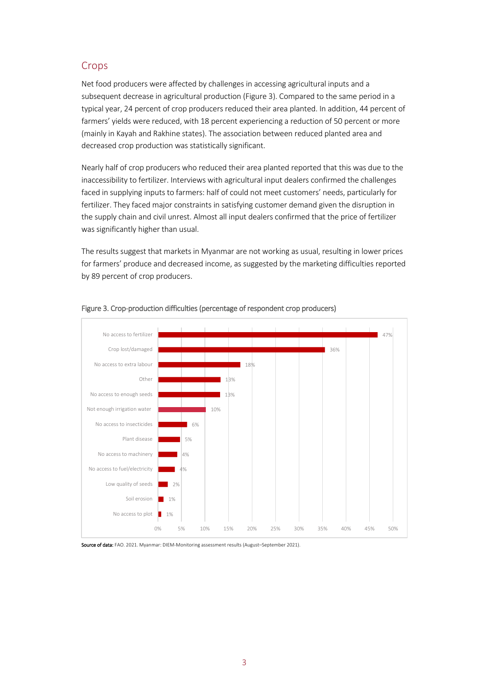# Crops

Net food producers were affected by challenges in accessing agricultural inputs and a subsequent decrease in agricultural production (Figure 3). Compared to the same period in a typical year, 24 percent of crop producers reduced their area planted. In addition, 44 percent of farmers' yields were reduced, with 18 percent experiencing a reduction of 50 percent or more (mainly in Kayah and Rakhine states). The association between reduced planted area and decreased crop production was statistically significant.

Nearly half of crop producers who reduced their area planted reported that this was due to the inaccessibility to fertilizer. Interviews with agricultural input dealers confirmed the challenges faced in supplying inputs to farmers: half of could not meet customers' needs, particularly for fertilizer. They faced major constraints in satisfying customer demand given the disruption in the supply chain and civil unrest. Almost all input dealers confirmed that the price of fertilizer was significantly higher than usual.

The results suggest that markets in Myanmar are not working as usual, resulting in lower prices for farmers' produce and decreased income, as suggested by the marketing difficulties reported by 89 percent of crop producers.



#### Figure 3. Crop-production difficulties (percentage of respondent crop producers)

Source of data: FAO. 2021. Myanmar: DIEM-Monitoring assessment results (August-September 2021).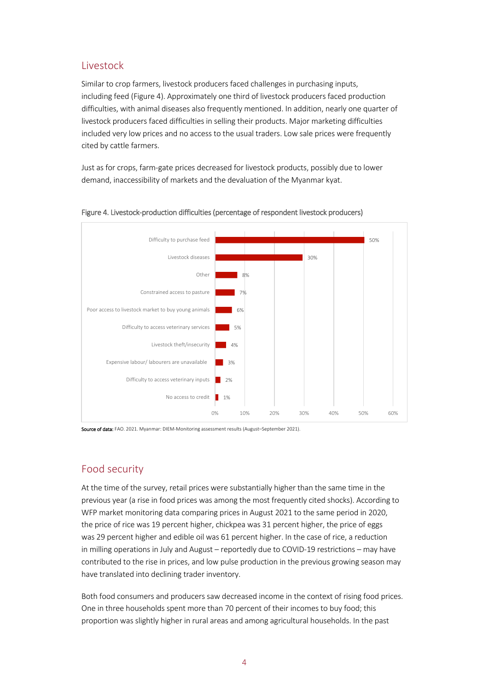## Livestock

Similar to crop farmers, livestock producers faced challenges in purchasing inputs, including feed (Figure 4). Approximately one third of livestock producers faced production difficulties, with animal diseases also frequently mentioned. In addition, nearly one quarter of livestock producers faced difficulties in selling their products. Major marketing difficulties included very low prices and no access to the usual traders. Low sale prices were frequently cited by cattle farmers.

Just as for crops, farm-gate prices decreased for livestock products, possibly due to lower demand, inaccessibility of markets and the devaluation of the Myanmar kyat.



Figure 4. Livestock-production difficulties (percentage of respondent livestock producers)

Source of data: FAO. 2021. Myanmar: DIEM-Monitoring assessment results (August-September 2021).

# Food security

At the time of the survey, retail prices were substantially higher than the same time in the previous year (a rise in food prices was among the most frequently cited shocks). According to WFP market monitoring data comparing prices in August 2021 to the same period in 2020, the price of rice was 19 percent higher, chickpea was 31 percent higher, the price of eggs was 29 percent higher and edible oil was 61 percent higher. In the case of rice, a reduction in milling operations in July and August – reportedly due to COVID-19 restrictions – may have contributed to the rise in prices, and low pulse production in the previous growing season may have translated into declining trader inventory.

Both food consumers and producers saw decreased income in the context of rising food prices. One in three households spent more than 70 percent of their incomes to buy food; this proportion was slightly higher in rural areas and among agricultural households. In the past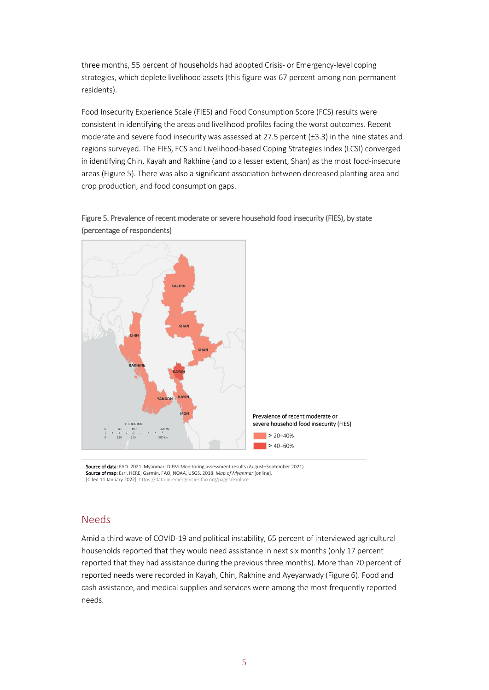three months, 55 percent of households had adopted Crisis- or Emergency-level coping strategies, which deplete livelihood assets (this figure was 67 percent among non-permanent residents).

Food Insecurity Experience Scale (FIES) and Food Consumption Score (FCS) results were consistent in identifying the areas and livelihood profiles facing the worst outcomes. Recent moderate and severe food insecurity was assessed at 27.5 percent (±3.3) in the nine states and regions surveyed. The FIES, FCS and Livelihood-based Coping Strategies Index (LCSI) converged in identifying Chin, Kayah and Rakhine (and to a lesser extent, Shan) as the most food-insecure areas (Figure 5). There was also a significant association between decreased planting area and crop production, and food consumption gaps.





#### Needs

Amid a third wave of COVID-19 and political instability, 65 percent of interviewed agricultural households reported that they would need assistance in next six months (only 17 percent reported that they had assistance during the previous three months). More than 70 percent of reported needs were recorded in Kayah, Chin, Rakhine and Ayeyarwady (Figure 6). Food and cash assistance, and medical supplies and services were among the most frequently reported needs.

Source of data: FAO. 2021. Myanmar: DIEM-Monitoring assessment results (August-September 2021). Source of map: Esri, HERE, Garmin, FAO, NOAA, USGS. 2018. *Map of Myanmar* [online]. [Cited 11 January 2022]. https://data-in-[emergencies.fao.org/pages/explore](https://data-in-emergencies.fao.org/pages/explore)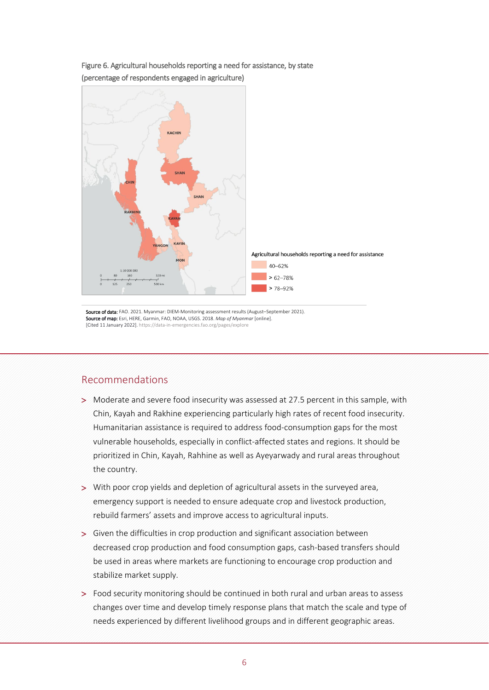

Figure 6. Agricultural households reporting a need for assistance, by state (percentage of respondents engaged in agriculture)

Source of data: FAO. 2021. Myanmar: DIEM-Monitoring assessment results (August-September 2021). Source of map: Esri, HERE, Garmin, FAO, NOAA, USGS. 2018. *Map of Myanmar* [online]. [Cited 11 January 2022]. <https://data-in-emergencies.fao.org/pages/explore>

## Recommendations

- > Moderate and severe food insecurity was assessed at 27.5 percent in this sample, with Chin, Kayah and Rakhine experiencing particularly high rates of recent food insecurity. Humanitarian assistance is required to address food-consumption gaps for the most vulnerable households, especially in conflict-affected states and regions. It should be prioritized in Chin, Kayah, Rahhine as well as Ayeyarwady and rural areas throughout the country.
- > With poor crop yields and depletion of agricultural assets in the surveyed area, emergency support is needed to ensure adequate crop and livestock production, rebuild farmers' assets and improve access to agricultural inputs.
- > Given the difficulties in crop production and significant association between decreased crop production and food consumption gaps, cash-based transfers should be used in areas where markets are functioning to encourage crop production and stabilize market supply.
- > Food security monitoring should be continued in both rural and urban areas to assess changes over time and develop timely response plans that match the scale and type of needs experienced by different livelihood groups and in different geographic areas.